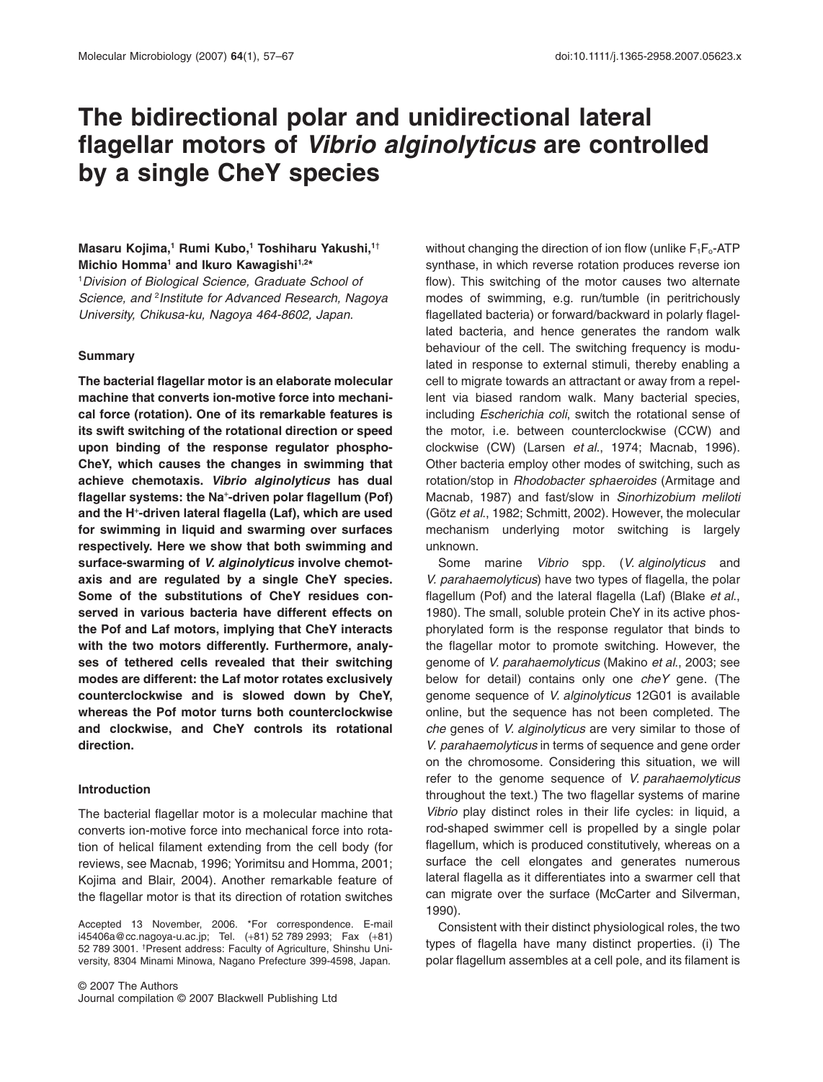# **The bidirectional polar and unidirectional lateral flagellar motors of** *Vibrio alginolyticus* **are controlled by a single CheY species**

## Masaru Kojima,<sup>1</sup> Rumi Kubo,<sup>1</sup> Toshiharu Yakushi,<sup>1†</sup> **Michio Homma<sup>1</sup> and Ikuro Kawagishi<sup>1,2\*</sup>**

1 *Division of Biological Science, Graduate School of Science, and* <sup>2</sup> *Institute for Advanced Research, Nagoya University, Chikusa-ku, Nagoya 464-8602, Japan.*

#### **Summary**

**The bacterial flagellar motor is an elaborate molecular machine that converts ion-motive force into mechanical force (rotation). One of its remarkable features is its swift switching of the rotational direction or speed upon binding of the response regulator phospho-CheY, which causes the changes in swimming that achieve chemotaxis.** *Vibrio alginolyticus* **has dual flagellar systems: the Na**<sup>+</sup> **-driven polar flagellum (Pof) and the H**<sup>+</sup> **-driven lateral flagella (Laf), which are used for swimming in liquid and swarming over surfaces respectively. Here we show that both swimming and surface-swarming of** *V. alginolyticus* **involve chemotaxis and are regulated by a single CheY species. Some of the substitutions of CheY residues conserved in various bacteria have different effects on the Pof and Laf motors, implying that CheY interacts with the two motors differently. Furthermore, analyses of tethered cells revealed that their switching modes are different: the Laf motor rotates exclusively counterclockwise and is slowed down by CheY, whereas the Pof motor turns both counterclockwise and clockwise, and CheY controls its rotational direction.**

## **Introduction**

The bacterial flagellar motor is a molecular machine that converts ion-motive force into mechanical force into rotation of helical filament extending from the cell body (for reviews, see Macnab, 1996; Yorimitsu and Homma, 2001; Kojima and Blair, 2004). Another remarkable feature of the flagellar motor is that its direction of rotation switches

Accepted 13 November, 2006. \*For correspondence. E-mail [i45406a@cc.nagoya-u.ac.jp;](mailto:i45406a@cc.nagoya-u.ac.jp) Tel. (+81) 52 789 2993; Fax (+81) 52 789 3001. † Present address: Faculty of Agriculture, Shinshu University, 8304 Minami Minowa, Nagano Prefecture 399-4598, Japan.

without changing the direction of ion flow (unlike  $F_1F_0$ -ATP synthase, in which reverse rotation produces reverse ion flow). This switching of the motor causes two alternate modes of swimming, e.g. run/tumble (in peritrichously flagellated bacteria) or forward/backward in polarly flagellated bacteria, and hence generates the random walk behaviour of the cell. The switching frequency is modulated in response to external stimuli, thereby enabling a cell to migrate towards an attractant or away from a repellent via biased random walk. Many bacterial species, including *Escherichia coli*, switch the rotational sense of the motor, i.e. between counterclockwise (CCW) and clockwise (CW) (Larsen *et al*., 1974; Macnab, 1996). Other bacteria employ other modes of switching, such as rotation/stop in *Rhodobacter sphaeroides* (Armitage and Macnab, 1987) and fast/slow in *Sinorhizobium meliloti* (Götz *et al*., 1982; Schmitt, 2002). However, the molecular mechanism underlying motor switching is largely unknown.

Some marine *Vibrio* spp. (*V. alginolyticus* and *V. parahaemolyticus*) have two types of flagella, the polar flagellum (Pof) and the lateral flagella (Laf) (Blake *et al*., 1980). The small, soluble protein CheY in its active phosphorylated form is the response regulator that binds to the flagellar motor to promote switching. However, the genome of *V. parahaemolyticus* (Makino *et al*., 2003; see below for detail) contains only one *cheY* gene. (The genome sequence of *V. alginolyticus* 12G01 is available online, but the sequence has not been completed. The *che* genes of *V. alginolyticus* are very similar to those of *V. parahaemolyticus* in terms of sequence and gene order on the chromosome. Considering this situation, we will refer to the genome sequence of *V. parahaemolyticus* throughout the text.) The two flagellar systems of marine *Vibrio* play distinct roles in their life cycles: in liquid, a rod-shaped swimmer cell is propelled by a single polar flagellum, which is produced constitutively, whereas on a surface the cell elongates and generates numerous lateral flagella as it differentiates into a swarmer cell that can migrate over the surface (McCarter and Silverman, 1990).

Consistent with their distinct physiological roles, the two types of flagella have many distinct properties. (i) The polar flagellum assembles at a cell pole, and its filament is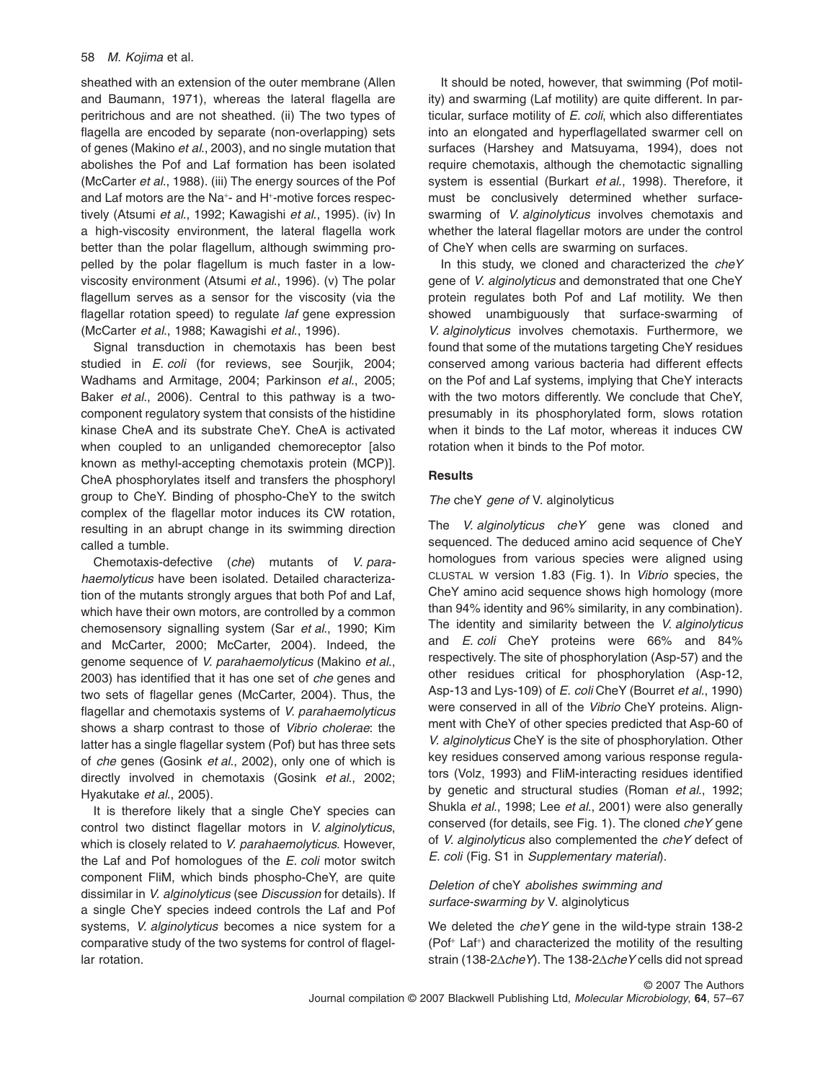## 58 *M. Kojima* et al.

sheathed with an extension of the outer membrane (Allen and Baumann, 1971), whereas the lateral flagella are peritrichous and are not sheathed. (ii) The two types of flagella are encoded by separate (non-overlapping) sets of genes (Makino *et al*., 2003), and no single mutation that abolishes the Pof and Laf formation has been isolated (McCarter *et al*., 1988). (iii) The energy sources of the Pof and Laf motors are the Na<sup>+</sup>- and H<sup>+</sup>-motive forces respectively (Atsumi *et al*., 1992; Kawagishi *et al*., 1995). (iv) In a high-viscosity environment, the lateral flagella work better than the polar flagellum, although swimming propelled by the polar flagellum is much faster in a lowviscosity environment (Atsumi *et al*., 1996). (v) The polar flagellum serves as a sensor for the viscosity (via the flagellar rotation speed) to regulate *laf* gene expression (McCarter *et al*., 1988; Kawagishi *et al*., 1996).

Signal transduction in chemotaxis has been best studied in *E. coli* (for reviews, see Sourjik, 2004; Wadhams and Armitage, 2004; Parkinson *et al*., 2005; Baker *et al*., 2006). Central to this pathway is a twocomponent regulatory system that consists of the histidine kinase CheA and its substrate CheY. CheA is activated when coupled to an unliganded chemoreceptor [also known as methyl-accepting chemotaxis protein (MCP)]. CheA phosphorylates itself and transfers the phosphoryl group to CheY. Binding of phospho-CheY to the switch complex of the flagellar motor induces its CW rotation, resulting in an abrupt change in its swimming direction called a tumble.

Chemotaxis-defective (*che*) mutants of *V. parahaemolyticus* have been isolated. Detailed characterization of the mutants strongly argues that both Pof and Laf, which have their own motors, are controlled by a common chemosensory signalling system (Sar *et al*., 1990; Kim and McCarter, 2000; McCarter, 2004). Indeed, the genome sequence of *V. parahaemolyticus* (Makino *et al*., 2003) has identified that it has one set of *che* genes and two sets of flagellar genes (McCarter, 2004). Thus, the flagellar and chemotaxis systems of *V. parahaemolyticus* shows a sharp contrast to those of *Vibrio cholerae*: the latter has a single flagellar system (Pof) but has three sets of *che* genes (Gosink *et al*., 2002), only one of which is directly involved in chemotaxis (Gosink *et al*., 2002; Hyakutake *et al*., 2005).

It is therefore likely that a single CheY species can control two distinct flagellar motors in *V. alginolyticus*, which is closely related to *V. parahaemolyticus*. However, the Laf and Pof homologues of the *E. coli* motor switch component FliM, which binds phospho-CheY, are quite dissimilar in *V. alginolyticus* (see *Discussion* for details). If a single CheY species indeed controls the Laf and Pof systems, *V. alginolyticus* becomes a nice system for a comparative study of the two systems for control of flagellar rotation.

It should be noted, however, that swimming (Pof motility) and swarming (Laf motility) are quite different. In particular, surface motility of *E. coli*, which also differentiates into an elongated and hyperflagellated swarmer cell on surfaces (Harshey and Matsuyama, 1994), does not require chemotaxis, although the chemotactic signalling system is essential (Burkart *et al*., 1998). Therefore, it must be conclusively determined whether surfaceswarming of *V. alginolyticus* involves chemotaxis and whether the lateral flagellar motors are under the control of CheY when cells are swarming on surfaces.

In this study, we cloned and characterized the *cheY* gene of *V. alginolyticus* and demonstrated that one CheY protein regulates both Pof and Laf motility. We then showed unambiguously that surface-swarming of *V. alginolyticus* involves chemotaxis. Furthermore, we found that some of the mutations targeting CheY residues conserved among various bacteria had different effects on the Pof and Laf systems, implying that CheY interacts with the two motors differently. We conclude that CheY, presumably in its phosphorylated form, slows rotation when it binds to the Laf motor, whereas it induces CW rotation when it binds to the Pof motor.

# **Results**

## *The* cheY *gene of* V. alginolyticus

The *V. alginolyticus cheY* gene was cloned and sequenced. The deduced amino acid sequence of CheY homologues from various species were aligned using CLUSTAL W version 1.83 (Fig. 1). In *Vibrio* species, the CheY amino acid sequence shows high homology (more than 94% identity and 96% similarity, in any combination). The identity and similarity between the *V. alginolyticus* and *E. coli* CheY proteins were 66% and 84% respectively. The site of phosphorylation (Asp-57) and the other residues critical for phosphorylation (Asp-12, Asp-13 and Lys-109) of *E. coli* CheY (Bourret *et al*., 1990) were conserved in all of the *Vibrio* CheY proteins. Alignment with CheY of other species predicted that Asp-60 of *V. alginolyticus* CheY is the site of phosphorylation. Other key residues conserved among various response regulators (Volz, 1993) and FliM-interacting residues identified by genetic and structural studies (Roman *et al*., 1992; Shukla *et al*., 1998; Lee *et al*., 2001) were also generally conserved (for details, see Fig. 1). The cloned *cheY* gene of *V. alginolyticus* also complemented the *cheY* defect of *E. coli* (Fig. S1 in *Supplementary material*).

# *Deletion of* cheY *abolishes swimming and surface-swarming by* V. alginolyticus

We deleted the *cheY* gene in the wild-type strain 138-2 (Pof<sup>+</sup> Laf<sup>+</sup>) and characterized the motility of the resulting strain (138-2 $\triangle$ *cheY*). The 138-2 $\triangle$ *cheY* cells did not spread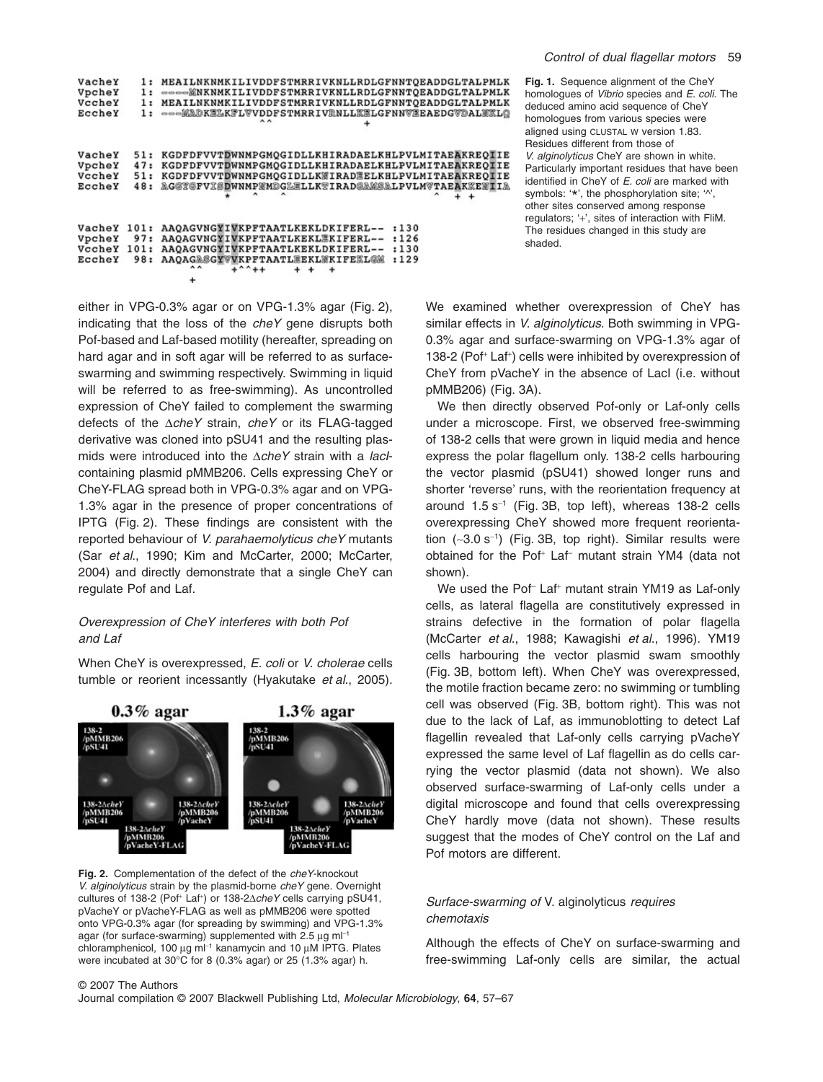| Control of dual flagellar motors |  |  |  | - 59 |
|----------------------------------|--|--|--|------|
|----------------------------------|--|--|--|------|

| VacheY<br>VpcheY<br>VccheY<br>EccheY | 1:<br>1:<br>1:             | MEAILNKNMKILIVDDFSTMRRIVKNLLRDLGFNNTOEADDGLTALPMLK<br>---- WNKNMKILIVDDFSTMRRIVKNLLRDLGFNNTOEADDGLTALPMLK<br>MEAILNKNMKILIVDDFSTMRRIVKNLLRDLGFNNTQEADDGLTALPMLK<br>---MADKELKFLVVDDFSTMRRIVRNLLXELGFNNVEEAEDGVDALXXLO |
|--------------------------------------|----------------------------|-----------------------------------------------------------------------------------------------------------------------------------------------------------------------------------------------------------------------|
| VacheY<br>VpcheY<br>VccheY<br>EccheY | 51:<br>47:<br>51:<br>48:   | KGDFDFVVTDWNMPGMOGIDLLKHIRADAELKHLPVLMITAEAKREOIIE<br>KGDFDFVVTDWNMPGMOGIDLLKHIRADAELKHLPVLMITAEAKREOIIE<br>KGDFDFVVTDWNMPGMOGIDLLKWIRADEELKHLPVLMITAEAKREOIIE<br>AG@Y@FVI@DWNMPMMDGL@LLKYIRAD@AW@ALPVLMVTAEAKEEMDIA  |
| VacheY<br>VpcheY<br>VccheY<br>EccheY | 101:<br>97:<br>101:<br>98: | AAQAGVNGYIVKPFTAATLKEKLDKIFERL--<br>:130<br>AAOAGVNGYIVKPFTAATLKEKLEKIFERL--<br>:126<br>AAOAGVNGYIVKPFTAATLKEKLDKIFERL--<br>:130<br>AAOAGASGYVVKPFTAATLEEKLWKIFEEL@M<br>:129                                          |

either in VPG-0.3% agar or on VPG-1.3% agar (Fig. 2), indicating that the loss of the *cheY* gene disrupts both Pof-based and Laf-based motility (hereafter, spreading on hard agar and in soft agar will be referred to as surfaceswarming and swimming respectively. Swimming in liquid will be referred to as free-swimming). As uncontrolled expression of CheY failed to complement the swarming defects of the D*cheY* strain, *cheY* or its FLAG-tagged derivative was cloned into pSU41 and the resulting plasmids were introduced into the  $\triangle$ *cheY* strain with a *lacI*containing plasmid pMMB206. Cells expressing CheY or CheY-FLAG spread both in VPG-0.3% agar and on VPG-1.3% agar in the presence of proper concentrations of IPTG (Fig. 2). These findings are consistent with the reported behaviour of *V. parahaemolyticus cheY* mutants (Sar *et al*., 1990; Kim and McCarter, 2000; McCarter, 2004) and directly demonstrate that a single CheY can regulate Pof and Laf.

# *Overexpression of CheY interferes with both Pof and Laf*

When CheY is overexpressed, *E. coli* or *V. cholerae* cells tumble or reorient incessantly (Hyakutake *et al*., 2005).



**Fig. 2.** Complementation of the defect of the *cheY*-knockout *V. alginolyticus* strain by the plasmid-borne *cheY* gene. Overnight cultures of 138-2 (Pof<sup>+</sup> Laf<sup>+</sup>) or 138-2 $\Delta$ *cheY* cells carrying pSU41, pVacheY or pVacheY-FLAG as well as pMMB206 were spotted onto VPG-0.3% agar (for spreading by swimming) and VPG-1.3% agar (for surface-swarming) supplemented with 2.5  $\mu$ g ml<sup>-1</sup> chloramphenicol, 100  $\mu$ g m $^{-1}$  kanamycin and 10  $\mu$ M IPTG. Plates were incubated at 30°C for 8 (0.3% agar) or 25 (1.3% agar) h.

**Fig. 1.** Sequence alignment of the CheY homologues of *Vibrio* species and *E. coli*. The deduced amino acid sequence of CheY homologues from various species were aligned using CLUSTAL W version 1.83. Residues different from those of *V. alginolyticus* CheY are shown in white. Particularly important residues that have been identified in CheY of *E. coli* are marked with symbols: '\*', the phosphorylation site; ' $\gamma$ ', other sites conserved among response regulators; '+', sites of interaction with FliM. The residues changed in this study are shaded.

We examined whether overexpression of CheY has similar effects in *V. alginolyticus*. Both swimming in VPG-0.3% agar and surface-swarming on VPG-1.3% agar of 138-2 (Pof<sup>+</sup> Laf<sup>+</sup>) cells were inhibited by overexpression of CheY from pVacheY in the absence of LacI (i.e. without pMMB206) (Fig. 3A).

We then directly observed Pof-only or Laf-only cells under a microscope. First, we observed free-swimming of 138-2 cells that were grown in liquid media and hence express the polar flagellum only. 138-2 cells harbouring the vector plasmid (pSU41) showed longer runs and shorter 'reverse' runs, with the reorientation frequency at around  $1.5 s^{-1}$  (Fig. 3B, top left), whereas 138-2 cells overexpressing CheY showed more frequent reorientation  $(-3.0 \text{ s}^{-1})$  (Fig. 3B, top right). Similar results were obtained for the Pof<sup>+</sup> Laf<sup>-</sup> mutant strain YM4 (data not shown).

We used the Pof<sup>-</sup> Laf<sup>+</sup> mutant strain YM19 as Laf-only cells, as lateral flagella are constitutively expressed in strains defective in the formation of polar flagella (McCarter *et al*., 1988; Kawagishi *et al*., 1996). YM19 cells harbouring the vector plasmid swam smoothly (Fig. 3B, bottom left). When CheY was overexpressed, the motile fraction became zero: no swimming or tumbling cell was observed (Fig. 3B, bottom right). This was not due to the lack of Laf, as immunoblotting to detect Laf flagellin revealed that Laf-only cells carrying pVacheY expressed the same level of Laf flagellin as do cells carrying the vector plasmid (data not shown). We also observed surface-swarming of Laf-only cells under a digital microscope and found that cells overexpressing CheY hardly move (data not shown). These results suggest that the modes of CheY control on the Laf and Pof motors are different.

# *Surface-swarming of* V. alginolyticus *requires chemotaxis*

Although the effects of CheY on surface-swarming and free-swimming Laf-only cells are similar, the actual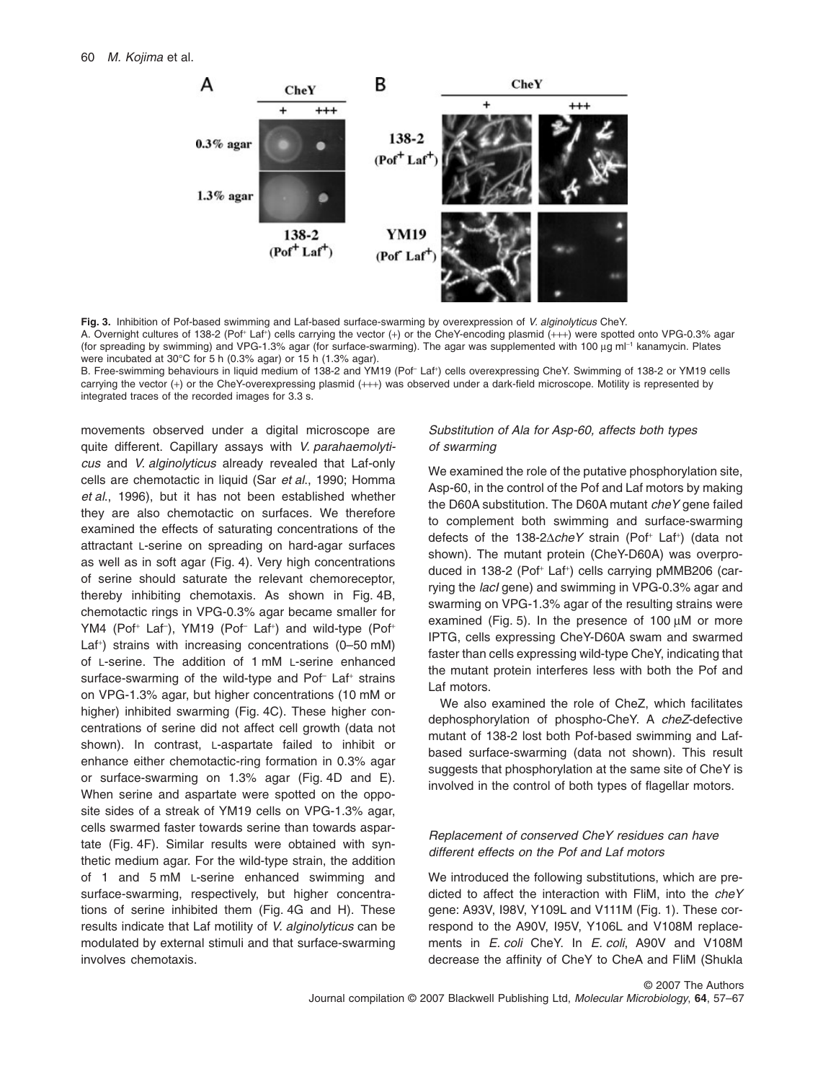

**Fig. 3.** Inhibition of Pof-based swimming and Laf-based surface-swarming by overexpression of *V. alginolyticus* CheY. A. Overnight cultures of 138-2 (Pof\* Laf\*) cells carrying the vector (+) or the CheY-encoding plasmid (+++) were spotted onto VPG-0.3% agar (for spreading by swimming) and VPG-1.3% agar (for surface-swarming). The agar was supplemented with 100 µg ml<sup>-1</sup> kanamycin. Plates were incubated at 30°C for 5 h (0.3% agar) or 15 h (1.3% agar).

B. Free-swimming behaviours in liquid medium of 138-2 and YM19 (Pof– Laf+) cells overexpressing CheY. Swimming of 138-2 or YM19 cells carrying the vector (+) or the CheY-overexpressing plasmid (+++) was observed under a dark-field microscope. Motility is represented by integrated traces of the recorded images for 3.3 s.

movements observed under a digital microscope are quite different. Capillary assays with *V. parahaemolyticus* and *V. alginolyticus* already revealed that Laf-only cells are chemotactic in liquid (Sar *et al*., 1990; Homma *et al*., 1996), but it has not been established whether they are also chemotactic on surfaces. We therefore examined the effects of saturating concentrations of the attractant L-serine on spreading on hard-agar surfaces as well as in soft agar (Fig. 4). Very high concentrations of serine should saturate the relevant chemoreceptor, thereby inhibiting chemotaxis. As shown in Fig. 4B, chemotactic rings in VPG-0.3% agar became smaller for YM4 (Pof<sup>+</sup> Laf<sup>-</sup>), YM19 (Pof<sup>-</sup> Laf<sup>+</sup>) and wild-type (Pof<sup>+</sup> Laf<sup>+</sup> ) strains with increasing concentrations (0–50 mM) of L-serine. The addition of 1 mM L-serine enhanced surface-swarming of the wild-type and Pof<sup>-</sup> Laf<sup>+</sup> strains on VPG-1.3% agar, but higher concentrations (10 mM or higher) inhibited swarming (Fig. 4C). These higher concentrations of serine did not affect cell growth (data not shown). In contrast, L-aspartate failed to inhibit or enhance either chemotactic-ring formation in 0.3% agar or surface-swarming on 1.3% agar (Fig. 4D and E). When serine and aspartate were spotted on the opposite sides of a streak of YM19 cells on VPG-1.3% agar, cells swarmed faster towards serine than towards aspartate (Fig. 4F). Similar results were obtained with synthetic medium agar. For the wild-type strain, the addition of 1 and 5 mM L-serine enhanced swimming and surface-swarming, respectively, but higher concentrations of serine inhibited them (Fig. 4G and H). These results indicate that Laf motility of *V. alginolyticus* can be modulated by external stimuli and that surface-swarming involves chemotaxis.

# *Substitution of Ala for Asp-60, affects both types of swarming*

We examined the role of the putative phosphorylation site, Asp-60, in the control of the Pof and Laf motors by making the D60A substitution. The D60A mutant *cheY* gene failed to complement both swimming and surface-swarming defects of the 138-2AcheY strain (Pof<sup>+</sup> Laf<sup>+</sup>) (data not shown). The mutant protein (CheY-D60A) was overproduced in 138-2 (Pof<sup>+</sup> Laf<sup>+</sup> ) cells carrying pMMB206 (carrying the *lacI* gene) and swimming in VPG-0.3% agar and swarming on VPG-1.3% agar of the resulting strains were examined (Fig. 5). In the presence of  $100 \mu M$  or more IPTG, cells expressing CheY-D60A swam and swarmed faster than cells expressing wild-type CheY, indicating that the mutant protein interferes less with both the Pof and Laf motors.

We also examined the role of CheZ, which facilitates dephosphorylation of phospho-CheY. A *cheZ*-defective mutant of 138-2 lost both Pof-based swimming and Lafbased surface-swarming (data not shown). This result suggests that phosphorylation at the same site of CheY is involved in the control of both types of flagellar motors.

# *Replacement of conserved CheY residues can have different effects on the Pof and Laf motors*

We introduced the following substitutions, which are predicted to affect the interaction with FliM, into the *cheY* gene: A93V, I98V, Y109L and V111M (Fig. 1). These correspond to the A90V, I95V, Y106L and V108M replacements in *E. coli* CheY. In *E. coli*, A90V and V108M decrease the affinity of CheY to CheA and FliM (Shukla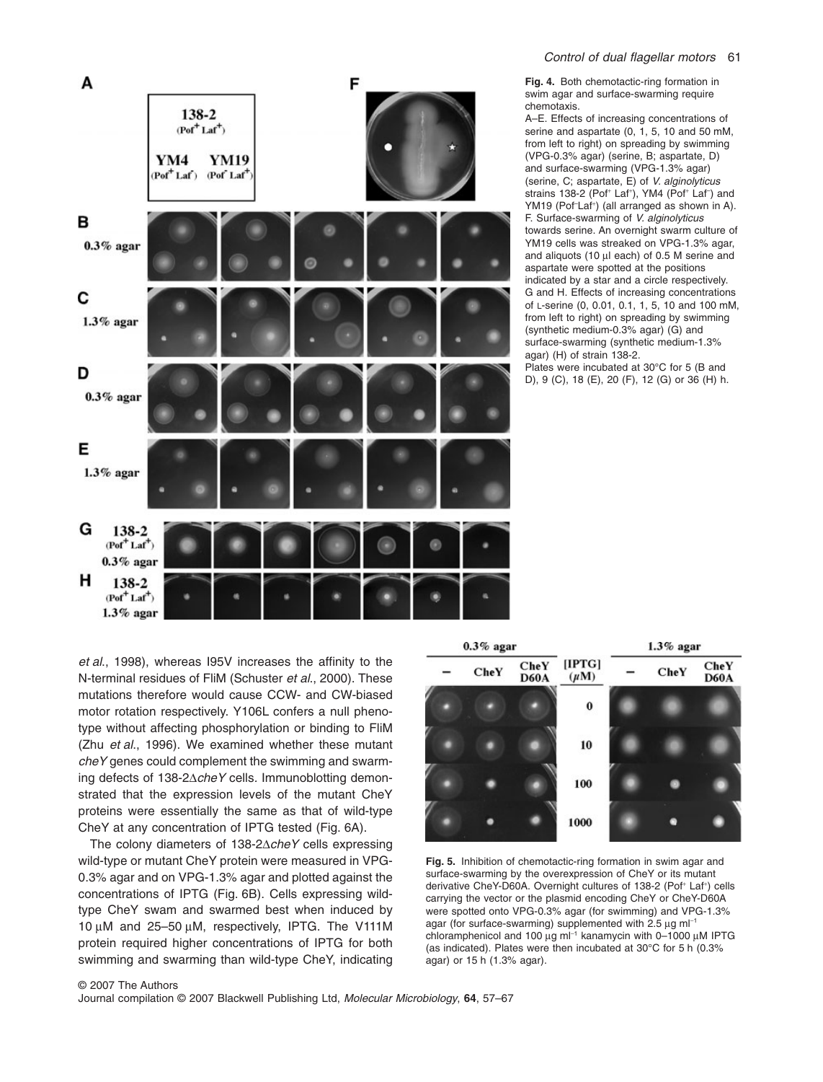

**Fig. 4.** Both chemotactic-ring formation in swim agar and surface-swarming require chemotaxis.

A–E. Effects of increasing concentrations of serine and aspartate (0, 1, 5, 10 and 50 mM, from left to right) on spreading by swimming (VPG-0.3% agar) (serine, B; aspartate, D) and surface-swarming (VPG-1.3% agar) (serine, C; aspartate, E) of *V. alginolyticus* strains 138-2 (Pof<sup>+</sup> Laf<sup>+</sup>), YM4 (Pof<sup>+</sup> Laf<sup>-</sup>) and YM19 (Pof<sup>-</sup>Laf<sup>+</sup>) (all arranged as shown in A). F. Surface-swarming of *V. alginolyticus* towards serine. An overnight swarm culture of YM19 cells was streaked on VPG-1.3% agar, and aliquots (10  $\mu$ l each) of 0.5 M serine and aspartate were spotted at the positions indicated by a star and a circle respectively. G and H. Effects of increasing concentrations of L-serine (0, 0.01, 0.1, 1, 5, 10 and 100 mM, from left to right) on spreading by swimming (synthetic medium-0.3% agar) (G) and surface-swarming (synthetic medium-1.3% agar) (H) of strain 138-2. Plates were incubated at 30°C for 5 (B and

D), 9 (C), 18 (E), 20 (F), 12 (G) or 36 (H) h.

*et al*., 1998), whereas I95V increases the affinity to the N-terminal residues of FliM (Schuster *et al*., 2000). These mutations therefore would cause CCW- and CW-biased motor rotation respectively. Y106L confers a null phenotype without affecting phosphorylation or binding to FliM (Zhu *et al*., 1996). We examined whether these mutant *cheY* genes could complement the swimming and swarming defects of 138-2 $\triangle$ *cheY* cells. Immunoblotting demonstrated that the expression levels of the mutant CheY proteins were essentially the same as that of wild-type CheY at any concentration of IPTG tested (Fig. 6A).

The colony diameters of 138-2 $\triangle$ *cheY* cells expressing wild-type or mutant CheY protein were measured in VPG-0.3% agar and on VPG-1.3% agar and plotted against the concentrations of IPTG (Fig. 6B). Cells expressing wildtype CheY swam and swarmed best when induced by 10  $\mu$ M and 25-50  $\mu$ M, respectively, IPTG. The V111M protein required higher concentrations of IPTG for both swimming and swarming than wild-type CheY, indicating



**Fig. 5.** Inhibition of chemotactic-ring formation in swim agar and surface-swarming by the overexpression of CheY or its mutant derivative CheY-D60A. Overnight cultures of 138-2 (Pof<sup>+</sup> Laf<sup>+</sup>) cells carrying the vector or the plasmid encoding CheY or CheY-D60A were spotted onto VPG-0.3% agar (for swimming) and VPG-1.3% agar (for surface-swarming) supplemented with 2.5  $\mu$ g ml<sup>-1</sup> chloramphenicol and 100  $\mu$ g ml<sup>-1</sup> kanamycin with 0–1000  $\mu$ M IPTG (as indicated). Plates were then incubated at 30°C for 5 h (0.3% agar) or 15 h (1.3% agar).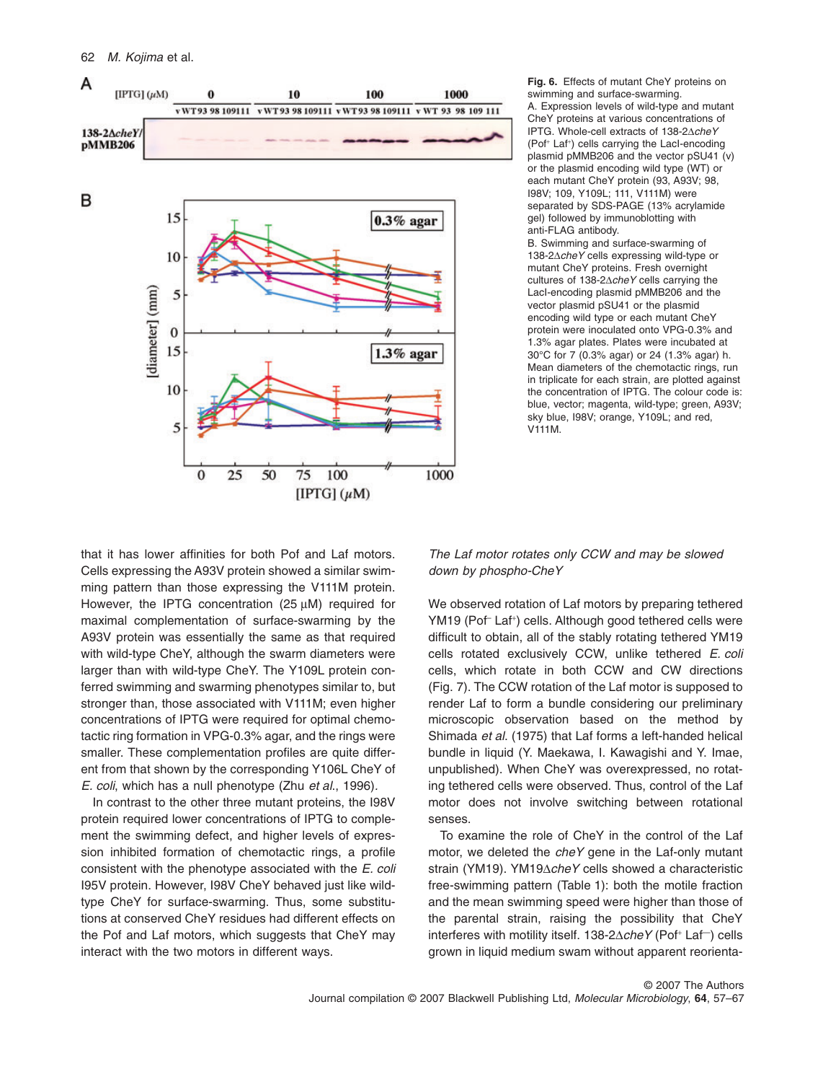

**Fig. 6.** Effects of mutant CheY proteins on swimming and surface-swarming. A. Expression levels of wild-type and mutant CheY proteins at various concentrations of IPTG. Whole-cell extracts of 138-2AcheY (Pof<sup>+</sup> Laf<sup>+</sup> ) cells carrying the LacI-encoding plasmid pMMB206 and the vector pSU41 (v) or the plasmid encoding wild type (WT) or each mutant CheY protein (93, A93V; 98, I98V; 109, Y109L; 111, V111M) were separated by SDS-PAGE (13% acrylamide gel) followed by immunoblotting with anti-FLAG antibody.

B. Swimming and surface-swarming of 138-2∆*cheY* cells expressing wild-type or mutant CheY proteins. Fresh overnight cultures of 138-2 $\triangle$ *cheY* cells carrying the LacI-encoding plasmid pMMB206 and the vector plasmid pSU41 or the plasmid encoding wild type or each mutant CheY protein were inoculated onto VPG-0.3% and 1.3% agar plates. Plates were incubated at 30°C for 7 (0.3% agar) or 24 (1.3% agar) h. Mean diameters of the chemotactic rings, run in triplicate for each strain, are plotted against the concentration of IPTG. The colour code is: blue, vector; magenta, wild-type; green, A93V; sky blue, I98V; orange, Y109L; and red, V111M.

that it has lower affinities for both Pof and Laf motors. Cells expressing the A93V protein showed a similar swimming pattern than those expressing the V111M protein. However, the IPTG concentration (25  $\mu$ M) required for maximal complementation of surface-swarming by the A93V protein was essentially the same as that required with wild-type CheY, although the swarm diameters were larger than with wild-type CheY. The Y109L protein conferred swimming and swarming phenotypes similar to, but stronger than, those associated with V111M; even higher concentrations of IPTG were required for optimal chemotactic ring formation in VPG-0.3% agar, and the rings were smaller. These complementation profiles are quite different from that shown by the corresponding Y106L CheY of *E. coli*, which has a null phenotype (Zhu *et al*., 1996)*.*

In contrast to the other three mutant proteins, the I98V protein required lower concentrations of IPTG to complement the swimming defect, and higher levels of expression inhibited formation of chemotactic rings, a profile consistent with the phenotype associated with the *E. coli* I95V protein. However, I98V CheY behaved just like wildtype CheY for surface-swarming. Thus, some substitutions at conserved CheY residues had different effects on the Pof and Laf motors, which suggests that CheY may interact with the two motors in different ways.

*The Laf motor rotates only CCW and may be slowed down by phospho-CheY*

We observed rotation of Laf motors by preparing tethered YM19 (Pof<sup>-</sup> Laf<sup>+</sup>) cells. Although good tethered cells were difficult to obtain, all of the stably rotating tethered YM19 cells rotated exclusively CCW, unlike tethered *E. coli* cells, which rotate in both CCW and CW directions (Fig. 7). The CCW rotation of the Laf motor is supposed to render Laf to form a bundle considering our preliminary microscopic observation based on the method by Shimada *et al*. (1975) that Laf forms a left-handed helical bundle in liquid (Y. Maekawa, I. Kawagishi and Y. Imae, unpublished). When CheY was overexpressed, no rotating tethered cells were observed. Thus, control of the Laf motor does not involve switching between rotational senses.

To examine the role of CheY in the control of the Laf motor, we deleted the *cheY* gene in the Laf-only mutant strain (YM19). YM19 $\triangle$ *cheY* cells showed a characteristic free-swimming pattern (Table 1): both the motile fraction and the mean swimming speed were higher than those of the parental strain, raising the possibility that CheY interferes with motility itself. 138-2 $\triangle$ *cheY* (Pof<sup>+</sup> Laf<sup>-</sup>) cells grown in liquid medium swam without apparent reorienta-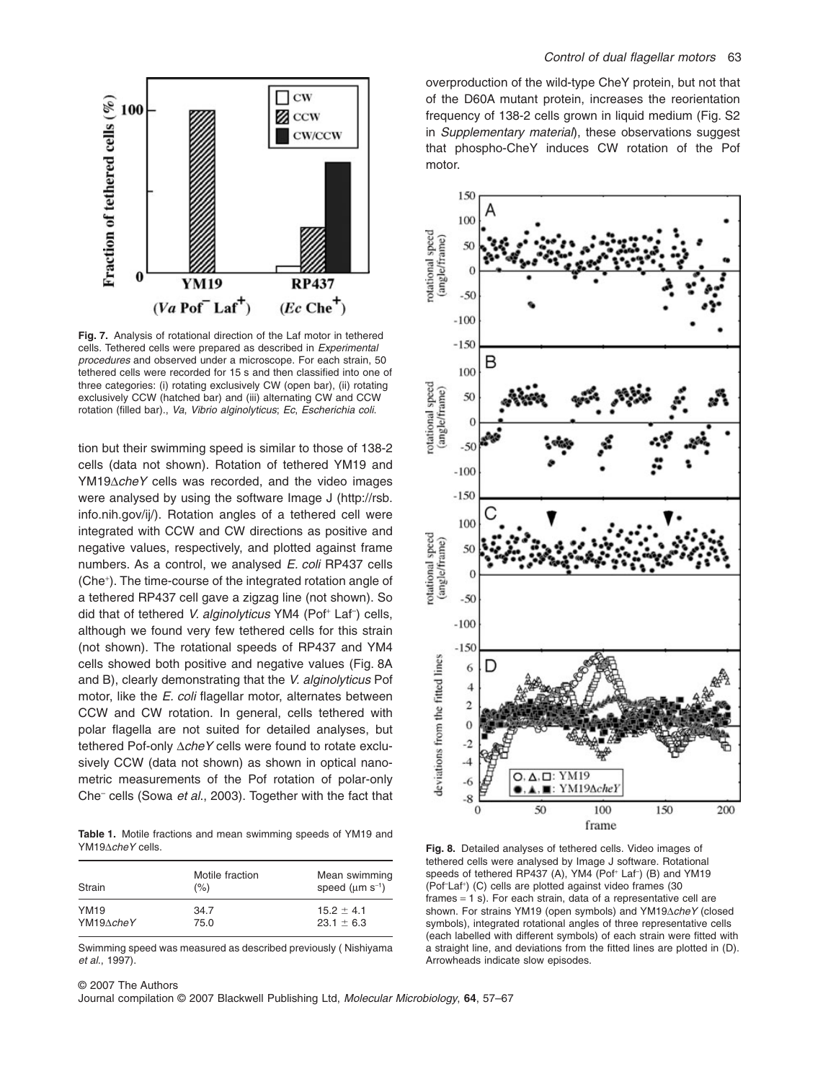

**Fig. 7.** Analysis of rotational direction of the Laf motor in tethered cells. Tethered cells were prepared as described in *Experimental procedures* and observed under a microscope. For each strain, 50 tethered cells were recorded for 15 s and then classified into one of three categories: (i) rotating exclusively CW (open bar), (ii) rotating exclusively CCW (hatched bar) and (iii) alternating CW and CCW rotation (filled bar)., *Va*, *Vibrio alginolyticus*; *Ec*, *Escherichia coli*.

tion but their swimming speed is similar to those of 138-2 cells (data not shown). Rotation of tethered YM19 and YM19 $\triangle$ *cheY* cells was recorded, and the video images were analysed by using the software Image J ([http://rsb.](http://rsb.info.nih.gov/ij) [info.nih.gov/ij/\).](http://rsb.info.nih.gov/ij) Rotation angles of a tethered cell were integrated with CCW and CW directions as positive and negative values, respectively, and plotted against frame numbers. As a control, we analysed *E. coli* RP437 cells (Che<sup>+</sup> ). The time-course of the integrated rotation angle of a tethered RP437 cell gave a zigzag line (not shown). So did that of tethered V. alginolyticus YM4 (Pof<sup>+</sup> Laf<sup>-</sup>) cells, although we found very few tethered cells for this strain (not shown). The rotational speeds of RP437 and YM4 cells showed both positive and negative values (Fig. 8A and B), clearly demonstrating that the *V. alginolyticus* Pof motor, like the *E. coli* flagellar motor, alternates between CCW and CW rotation. In general, cells tethered with polar flagella are not suited for detailed analyses, but tethered Pof-only  $\triangle$ *cheY* cells were found to rotate exclusively CCW (data not shown) as shown in optical nanometric measurements of the Pof rotation of polar-only Che– cells (Sowa *et al*., 2003). Together with the fact that

**Table 1.** Motile fractions and mean swimming speeds of YM19 and YM19∆cheY cells.

| Strain      | Motile fraction<br>(% ) | Mean swimming<br>speed $(\mu m s^{-1})$ |  |
|-------------|-------------------------|-----------------------------------------|--|
| <b>YM19</b> | 34.7                    | $15.2 \pm 4.1$                          |  |
| YM19AcheY   | 75.0                    | $23.1 \pm 6.3$                          |  |

Swimming speed was measured as described previously ( Nishiyama *et al*., 1997).

overproduction of the wild-type CheY protein, but not that of the D60A mutant protein, increases the reorientation frequency of 138-2 cells grown in liquid medium (Fig. S2 in *Supplementary material*), these observations suggest that phospho-CheY induces CW rotation of the Pof motor.



**Fig. 8.** Detailed analyses of tethered cells. Video images of tethered cells were analysed by Image J software. Rotational speeds of tethered RP437 (A), YM4 (Pof<sup>+</sup> Laf) (B) and YM19 (Pof<sup>Laf+</sup>) (C) cells are plotted against video frames (30 frames = 1 s). For each strain, data of a representative cell are shown. For strains YM19 (open symbols) and YM19AcheY (closed symbols), integrated rotational angles of three representative cells (each labelled with different symbols) of each strain were fitted with a straight line, and deviations from the fitted lines are plotted in (D). Arrowheads indicate slow episodes.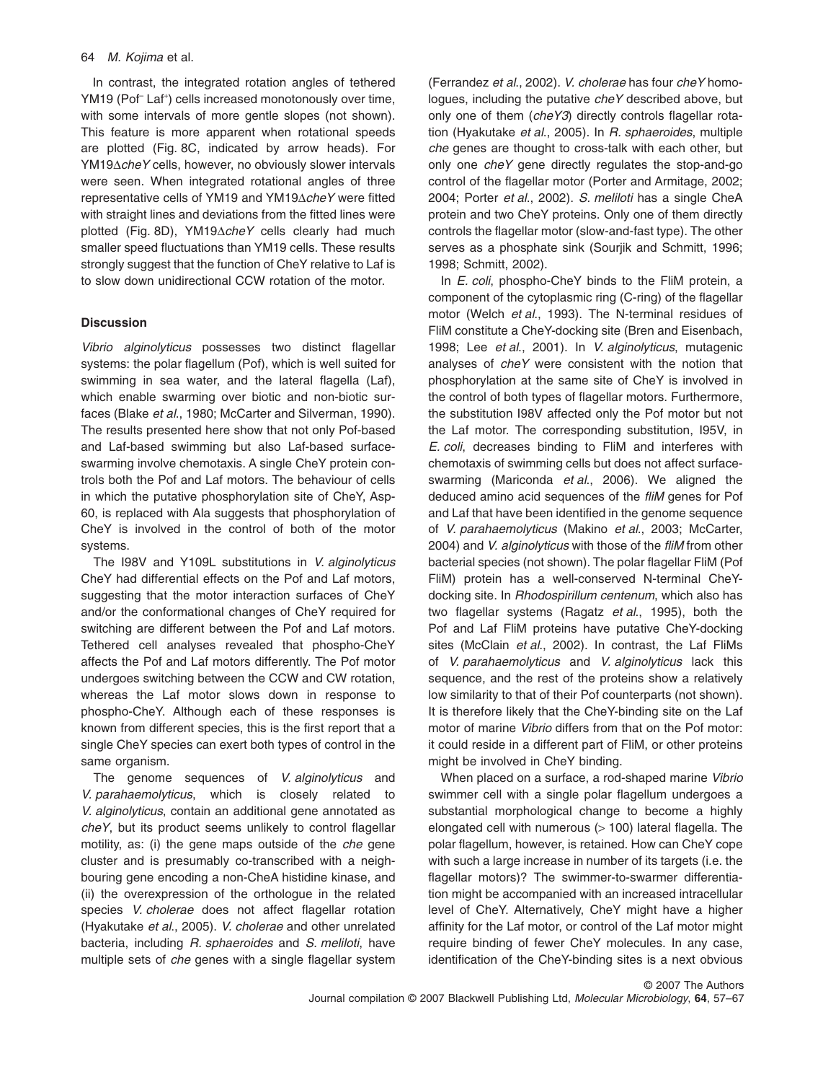#### 64 *M. Kojima* et al.

In contrast, the integrated rotation angles of tethered YM19 (Pof<sup>–</sup> Laf<sup>+</sup>) cells increased monotonously over time, with some intervals of more gentle slopes (not shown). This feature is more apparent when rotational speeds are plotted (Fig. 8C, indicated by arrow heads). For YM19 $\triangle$ *cheY* cells, however, no obviously slower intervals were seen. When integrated rotational angles of three representative cells of YM19 and YM19 $\triangle$ *cheY* were fitted with straight lines and deviations from the fitted lines were plotted (Fig. 8D), YM19 $\triangle$ *cheY* cells clearly had much smaller speed fluctuations than YM19 cells. These results strongly suggest that the function of CheY relative to Laf is to slow down unidirectional CCW rotation of the motor.

## **Discussion**

*Vibrio alginolyticus* possesses two distinct flagellar systems: the polar flagellum (Pof), which is well suited for swimming in sea water, and the lateral flagella (Laf), which enable swarming over biotic and non-biotic surfaces (Blake *et al*., 1980; McCarter and Silverman, 1990). The results presented here show that not only Pof-based and Laf-based swimming but also Laf-based surfaceswarming involve chemotaxis. A single CheY protein controls both the Pof and Laf motors. The behaviour of cells in which the putative phosphorylation site of CheY, Asp-60, is replaced with Ala suggests that phosphorylation of CheY is involved in the control of both of the motor systems.

The I98V and Y109L substitutions in *V. alginolyticus* CheY had differential effects on the Pof and Laf motors, suggesting that the motor interaction surfaces of CheY and/or the conformational changes of CheY required for switching are different between the Pof and Laf motors. Tethered cell analyses revealed that phospho-CheY affects the Pof and Laf motors differently. The Pof motor undergoes switching between the CCW and CW rotation, whereas the Laf motor slows down in response to phospho-CheY. Although each of these responses is known from different species, this is the first report that a single CheY species can exert both types of control in the same organism.

The genome sequences of *V. alginolyticus* and *V. parahaemolyticus*, which is closely related to *V. alginolyticus*, contain an additional gene annotated as *cheY*, but its product seems unlikely to control flagellar motility, as: (i) the gene maps outside of the *che* gene cluster and is presumably co-transcribed with a neighbouring gene encoding a non-CheA histidine kinase, and (ii) the overexpression of the orthologue in the related species *V. cholerae* does not affect flagellar rotation (Hyakutake *et al*., 2005). *V. cholerae* and other unrelated bacteria, including *R. sphaeroides* and *S. meliloti*, have multiple sets of *che* genes with a single flagellar system

(Ferrandez *et al*., 2002). *V. cholerae* has four *cheY* homologues, including the putative *cheY* described above, but only one of them (*cheY3*) directly controls flagellar rotation (Hyakutake *et al*., 2005). In *R. sphaeroides*, multiple *che* genes are thought to cross-talk with each other, but only one *cheY* gene directly regulates the stop-and-go control of the flagellar motor (Porter and Armitage, 2002; 2004; Porter *et al*., 2002). *S. meliloti* has a single CheA protein and two CheY proteins. Only one of them directly controls the flagellar motor (slow-and-fast type). The other serves as a phosphate sink (Sourjik and Schmitt, 1996; 1998; Schmitt, 2002).

In *E. coli*, phospho-CheY binds to the FliM protein, a component of the cytoplasmic ring (C-ring) of the flagellar motor (Welch *et al*., 1993). The N-terminal residues of FliM constitute a CheY-docking site (Bren and Eisenbach, 1998; Lee *et al*., 2001). In *V. alginolyticus*, mutagenic analyses of *cheY* were consistent with the notion that phosphorylation at the same site of CheY is involved in the control of both types of flagellar motors. Furthermore, the substitution I98V affected only the Pof motor but not the Laf motor. The corresponding substitution, I95V, in *E. coli*, decreases binding to FliM and interferes with chemotaxis of swimming cells but does not affect surfaceswarming (Mariconda *et al*., 2006). We aligned the deduced amino acid sequences of the *fliM* genes for Pof and Laf that have been identified in the genome sequence of *V. parahaemolyticus* (Makino *et al*., 2003; McCarter, 2004) and *V. alginolyticus* with those of the *fliM* from other bacterial species (not shown). The polar flagellar FliM (Pof FliM) protein has a well-conserved N-terminal CheYdocking site. In *Rhodospirillum centenum*, which also has two flagellar systems (Ragatz *et al*., 1995), both the Pof and Laf FliM proteins have putative CheY-docking sites (McClain *et al*., 2002). In contrast, the Laf FliMs of *V. parahaemolyticus* and *V. alginolyticus* lack this sequence, and the rest of the proteins show a relatively low similarity to that of their Pof counterparts (not shown). It is therefore likely that the CheY-binding site on the Laf motor of marine *Vibrio* differs from that on the Pof motor: it could reside in a different part of FliM, or other proteins might be involved in CheY binding.

When placed on a surface, a rod-shaped marine *Vibrio* swimmer cell with a single polar flagellum undergoes a substantial morphological change to become a highly elongated cell with numerous (> 100) lateral flagella. The polar flagellum, however, is retained. How can CheY cope with such a large increase in number of its targets (i.e. the flagellar motors)? The swimmer-to-swarmer differentiation might be accompanied with an increased intracellular level of CheY. Alternatively, CheY might have a higher affinity for the Laf motor, or control of the Laf motor might require binding of fewer CheY molecules. In any case, identification of the CheY-binding sites is a next obvious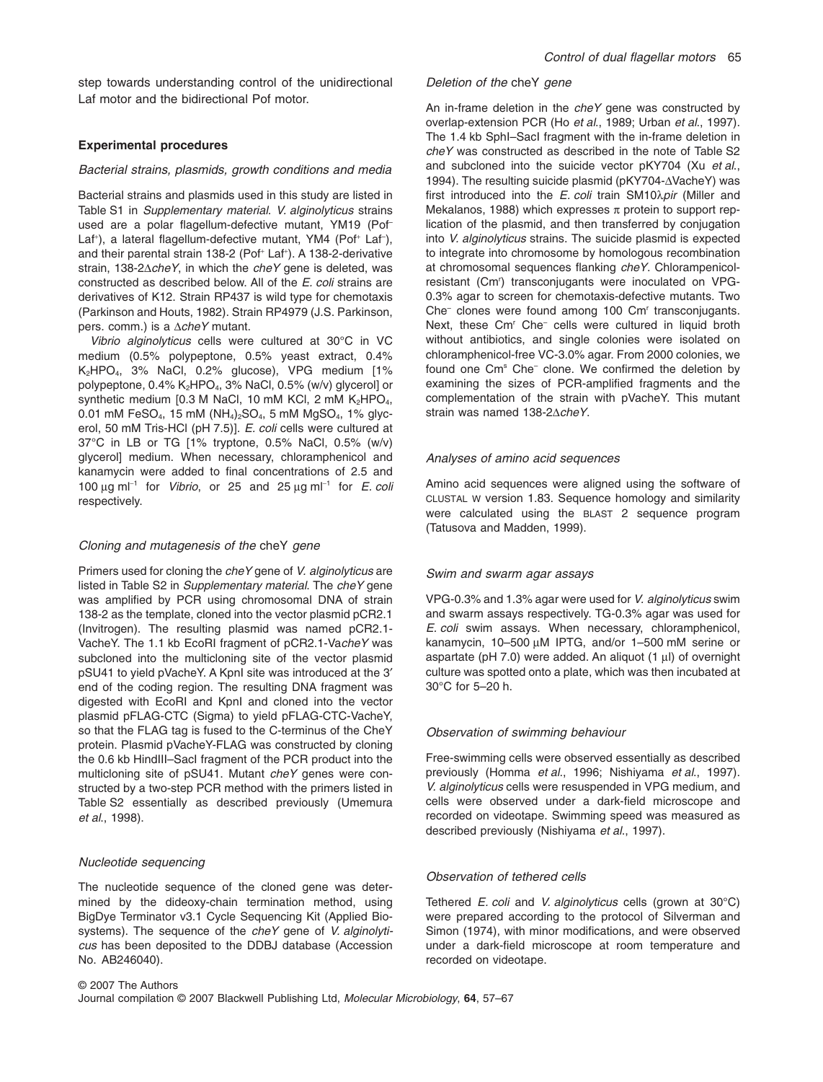step towards understanding control of the unidirectional Laf motor and the bidirectional Pof motor.

## **Experimental procedures**

#### *Bacterial strains, plasmids, growth conditions and media*

Bacterial strains and plasmids used in this study are listed in Table S1 in *Supplementary material*. *V. alginolyticus* strains used are a polar flagellum-defective mutant, YM19 (Pof– Laf<sup>+</sup>), a lateral flagellum-defective mutant, YM4 (Pof<sup>+</sup> Laf<sup>-</sup>), and their parental strain 138-2 (Pof<sup>+</sup> Laf<sup>+</sup>). A 138-2-derivative strain, 138-2 $\triangle$ *cheY*, in which the *cheY* gene is deleted, was constructed as described below. All of the *E. coli* strains are derivatives of K12. Strain RP437 is wild type for chemotaxis (Parkinson and Houts, 1982). Strain RP4979 (J.S. Parkinson, pers. comm.) is a  $\triangle$ *cheY* mutant.

*Vibrio alginolyticus* cells were cultured at 30°C in VC medium (0.5% polypeptone, 0.5% yeast extract, 0.4% K2HPO4, 3% NaCl, 0.2% glucose), VPG medium [1% polypeptone, 0.4% K2HPO4, 3% NaCl, 0.5% (w/v) glycerol] or synthetic medium [0.3 M NaCl, 10 mM KCl, 2 mM  $K_2HPO_4$ , 0.01 mM FeSO<sub>4</sub>, 15 mM (NH<sub>4</sub>)<sub>2</sub>SO<sub>4</sub>, 5 mM MgSO<sub>4</sub>, 1% glycerol, 50 mM Tris-HCl (pH 7.5)]. *E. coli* cells were cultured at 37°C in LB or TG [1% tryptone, 0.5% NaCl, 0.5% (w/v) glycerol] medium. When necessary, chloramphenicol and kanamycin were added to final concentrations of 2.5 and 100  $\mu$ g m<sup>-1</sup> for *Vibrio*, or 25 and 25  $\mu$ g m<sup>-1</sup> for *E. coli* respectively.

#### *Cloning and mutagenesis of the* cheY *gene*

Primers used for cloning the *cheY* gene of *V. alginolyticus* are listed in Table S2 in *Supplementary material*. The *cheY* gene was amplified by PCR using chromosomal DNA of strain 138-2 as the template, cloned into the vector plasmid pCR2.1 (Invitrogen). The resulting plasmid was named pCR2.1- VacheY. The 1.1 kb EcoRI fragment of pCR2.1-Va*cheY* was subcloned into the multicloning site of the vector plasmid pSU41 to yield pVacheY. A KpnI site was introduced at the 3′ end of the coding region. The resulting DNA fragment was digested with EcoRI and KpnI and cloned into the vector plasmid pFLAG-CTC (Sigma) to yield pFLAG-CTC-VacheY, so that the FLAG tag is fused to the C-terminus of the CheY protein. Plasmid pVacheY-FLAG was constructed by cloning the 0.6 kb HindIII–SacI fragment of the PCR product into the multicloning site of pSU41. Mutant *cheY* genes were constructed by a two-step PCR method with the primers listed in Table S2 essentially as described previously (Umemura *et al*., 1998).

#### *Nucleotide sequencing*

The nucleotide sequence of the cloned gene was determined by the dideoxy-chain termination method, using BigDye Terminator v3.1 Cycle Sequencing Kit (Applied Biosystems). The sequence of the *cheY* gene of *V. alginolyticus* has been deposited to the DDBJ database (Accession No. AB246040).

# *Deletion of the* cheY *gene*

An in-frame deletion in the *cheY* gene was constructed by overlap-extension PCR (Ho *et al*., 1989; Urban *et al*., 1997). The 1.4 kb SphI–SacI fragment with the in-frame deletion in *cheY* was constructed as described in the note of Table S2 and subcloned into the suicide vector pKY704 (Xu *et al*., 1994). The resulting suicide plasmid (pKY704- $\Delta$ VacheY) was first introduced into the *E. coli* train SM10 $\lambda$ *pir* (Miller and Mekalanos, 1988) which expresses  $\pi$  protein to support replication of the plasmid, and then transferred by conjugation into *V. alginolyticus* strains. The suicide plasmid is expected to integrate into chromosome by homologous recombination at chromosomal sequences flanking *cheY*. Chlorampenicolresistant (Cm<sup>r</sup>) transconjugants were inoculated on VPG-0.3% agar to screen for chemotaxis-defective mutants. Two Che<sup>-</sup> clones were found among 100 Cm<sup>r</sup> transconjugants. Next, these Cm<sup>r</sup> Che<sup>-</sup> cells were cultured in liquid broth without antibiotics, and single colonies were isolated on chloramphenicol-free VC-3.0% agar. From 2000 colonies, we found one Cm<sup>s</sup> Che<sup>-</sup> clone. We confirmed the deletion by examining the sizes of PCR-amplified fragments and the complementation of the strain with pVacheY. This mutant strain was named 138-2 $\triangle$ *cheY*.

# *Analyses of amino acid sequences*

Amino acid sequences were aligned using the software of CLUSTAL W version 1.83. Sequence homology and similarity were calculated using the BLAST 2 sequence program (Tatusova and Madden, 1999).

# *Swim and swarm agar assays*

VPG-0.3% and 1.3% agar were used for *V. alginolyticus* swim and swarm assays respectively. TG-0.3% agar was used for *E. coli* swim assays. When necessary, chloramphenicol, kanamycin, 10–500 µM IPTG, and/or 1–500 mM serine or aspartate ( $pH$  7.0) were added. An aliquot (1  $\mu$ I) of overnight culture was spotted onto a plate, which was then incubated at 30°C for 5–20 h.

# *Observation of swimming behaviour*

Free-swimming cells were observed essentially as described previously (Homma *et al*., 1996; Nishiyama *et al*., 1997). *V. alginolyticus* cells were resuspended in VPG medium, and cells were observed under a dark-field microscope and recorded on videotape. Swimming speed was measured as described previously (Nishiyama *et al*., 1997).

# *Observation of tethered cells*

Tethered *E. coli* and *V. alginolyticus* cells (grown at 30°C) were prepared according to the protocol of Silverman and Simon (1974), with minor modifications, and were observed under a dark-field microscope at room temperature and recorded on videotape.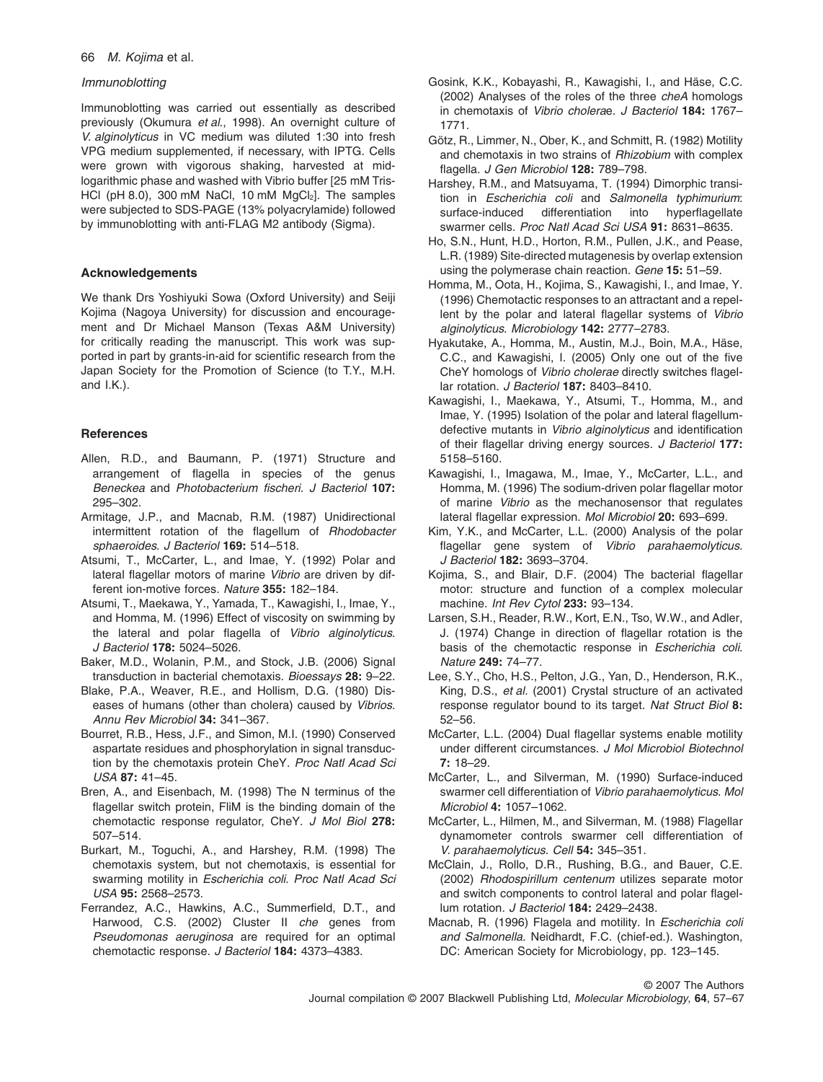## 66 *M. Kojima* et al.

## *Immunoblotting*

Immunoblotting was carried out essentially as described previously (Okumura *et al*., 1998). An overnight culture of *V. alginolyticus* in VC medium was diluted 1:30 into fresh VPG medium supplemented, if necessary, with IPTG. Cells were grown with vigorous shaking, harvested at midlogarithmic phase and washed with Vibrio buffer [25 mM Tris-HCl (pH 8.0), 300 mM NaCl, 10 mM  $MqCl<sub>2</sub>$ ]. The samples were subjected to SDS-PAGE (13% polyacrylamide) followed by immunoblotting with anti-FLAG M2 antibody (Sigma).

# **Acknowledgements**

We thank Drs Yoshiyuki Sowa (Oxford University) and Seiji Kojima (Nagoya University) for discussion and encouragement and Dr Michael Manson (Texas A&M University) for critically reading the manuscript. This work was supported in part by grants-in-aid for scientific research from the Japan Society for the Promotion of Science (to T.Y., M.H. and I.K.).

# **References**

- Allen, R.D., and Baumann, P. (1971) Structure and arrangement of flagella in species of the genus *Beneckea* and *Photobacterium fischeri*. *J Bacteriol* **107:** 295–302.
- Armitage, J.P., and Macnab, R.M. (1987) Unidirectional intermittent rotation of the flagellum of *Rhodobacter sphaeroides*. *J Bacteriol* **169:** 514–518.
- Atsumi, T., McCarter, L., and Imae, Y. (1992) Polar and lateral flagellar motors of marine *Vibrio* are driven by different ion-motive forces. *Nature* **355:** 182–184.
- Atsumi, T., Maekawa, Y., Yamada, T., Kawagishi, I., Imae, Y., and Homma, M. (1996) Effect of viscosity on swimming by the lateral and polar flagella of *Vibrio alginolyticus*. *J Bacteriol* **178:** 5024–5026.
- Baker, M.D., Wolanin, P.M., and Stock, J.B. (2006) Signal transduction in bacterial chemotaxis. *Bioessays* **28:** 9–22.
- Blake, P.A., Weaver, R.E., and Hollism, D.G. (1980) Diseases of humans (other than cholera) caused by *Vibrios*. *Annu Rev Microbiol* **34:** 341–367.
- Bourret, R.B., Hess, J.F., and Simon, M.I. (1990) Conserved aspartate residues and phosphorylation in signal transduction by the chemotaxis protein CheY. *Proc Natl Acad Sci USA* **87:** 41–45.
- Bren, A., and Eisenbach, M. (1998) The N terminus of the flagellar switch protein, FliM is the binding domain of the chemotactic response regulator, CheY. *J Mol Biol* **278:** 507–514.
- Burkart, M., Toguchi, A., and Harshey, R.M. (1998) The chemotaxis system, but not chemotaxis, is essential for swarming motility in *Escherichia coli*. *Proc Natl Acad Sci USA* **95:** 2568–2573.
- Ferrandez, A.C., Hawkins, A.C., Summerfield, D.T., and Harwood, C.S. (2002) Cluster II *che* genes from *Pseudomonas aeruginosa* are required for an optimal chemotactic response. *J Bacteriol* **184:** 4373–4383.
- Gosink, K.K., Kobayashi, R., Kawagishi, I., and Häse, C.C. (2002) Analyses of the roles of the three *cheA* homologs in chemotaxis of *Vibrio cholera*e. *J Bacteriol* **184:** 1767– 1771.
- Götz, R., Limmer, N., Ober, K., and Schmitt, R. (1982) Motility and chemotaxis in two strains of *Rhizobium* with complex flagella. *J Gen Microbiol* **128:** 789–798.
- Harshey, R.M., and Matsuyama, T. (1994) Dimorphic transition in *Escherichia coli* and *Salmonella typhimurium*: surface-induced differentiation into hyperflagellate swarmer cells. *Proc Natl Acad Sci USA* **91:** 8631–8635.
- Ho, S.N., Hunt, H.D., Horton, R.M., Pullen, J.K., and Pease, L.R. (1989) Site-directed mutagenesis by overlap extension using the polymerase chain reaction. *Gene* **15:** 51–59.
- Homma, M., Oota, H., Kojima, S., Kawagishi, I., and Imae, Y. (1996) Chemotactic responses to an attractant and a repellent by the polar and lateral flagellar systems of *Vibrio alginolyticus*. *Microbiology* **142:** 2777–2783.
- Hyakutake, A., Homma, M., Austin, M.J., Boin, M.A., Häse, C.C., and Kawagishi, I. (2005) Only one out of the five CheY homologs of *Vibrio cholerae* directly switches flagellar rotation. *J Bacteriol* **187:** 8403–8410.
- Kawagishi, I., Maekawa, Y., Atsumi, T., Homma, M., and Imae, Y. (1995) Isolation of the polar and lateral flagellumdefective mutants in *Vibrio alginolyticus* and identification of their flagellar driving energy sources. *J Bacteriol* **177:** 5158–5160.
- Kawagishi, I., Imagawa, M., Imae, Y., McCarter, L.L., and Homma, M. (1996) The sodium-driven polar flagellar motor of marine *Vibrio* as the mechanosensor that regulates lateral flagellar expression. *Mol Microbiol* **20:** 693–699.
- Kim, Y.K., and McCarter, L.L. (2000) Analysis of the polar flagellar gene system of *Vibrio parahaemolyticus*. *J Bacteriol* **182:** 3693–3704.
- Kojima, S., and Blair, D.F. (2004) The bacterial flagellar motor: structure and function of a complex molecular machine. *Int Rev Cytol* **233:** 93–134.
- Larsen, S.H., Reader, R.W., Kort, E.N., Tso, W.W., and Adler, J. (1974) Change in direction of flagellar rotation is the basis of the chemotactic response in *Escherichia coli*. *Nature* **249:** 74–77.
- Lee, S.Y., Cho, H.S., Pelton, J.G., Yan, D., Henderson, R.K., King, D.S., *et al.* (2001) Crystal structure of an activated response regulator bound to its target. *Nat Struct Biol* **8:** 52–56.
- McCarter, L.L. (2004) Dual flagellar systems enable motility under different circumstances. *J Mol Microbiol Biotechnol* **7:** 18–29.
- McCarter, L., and Silverman, M. (1990) Surface-induced swarmer cell differentiation of *Vibrio parahaemolyticus*. *Mol Microbiol* **4:** 1057–1062.
- McCarter, L., Hilmen, M., and Silverman, M. (1988) Flagellar dynamometer controls swarmer cell differentiation of *V. parahaemolyticus*. *Cell* **54:** 345–351.
- McClain, J., Rollo, D.R., Rushing, B.G., and Bauer, C.E. (2002) *Rhodospirillum centenum* utilizes separate motor and switch components to control lateral and polar flagellum rotation. *J Bacteriol* **184:** 2429–2438.
- Macnab, R. (1996) Flagela and motility. In *Escherichia coli and Salmonella.* Neidhardt, F.C. (chief-ed.). Washington, DC: American Society for Microbiology, pp. 123–145.

© 2007 The Authors